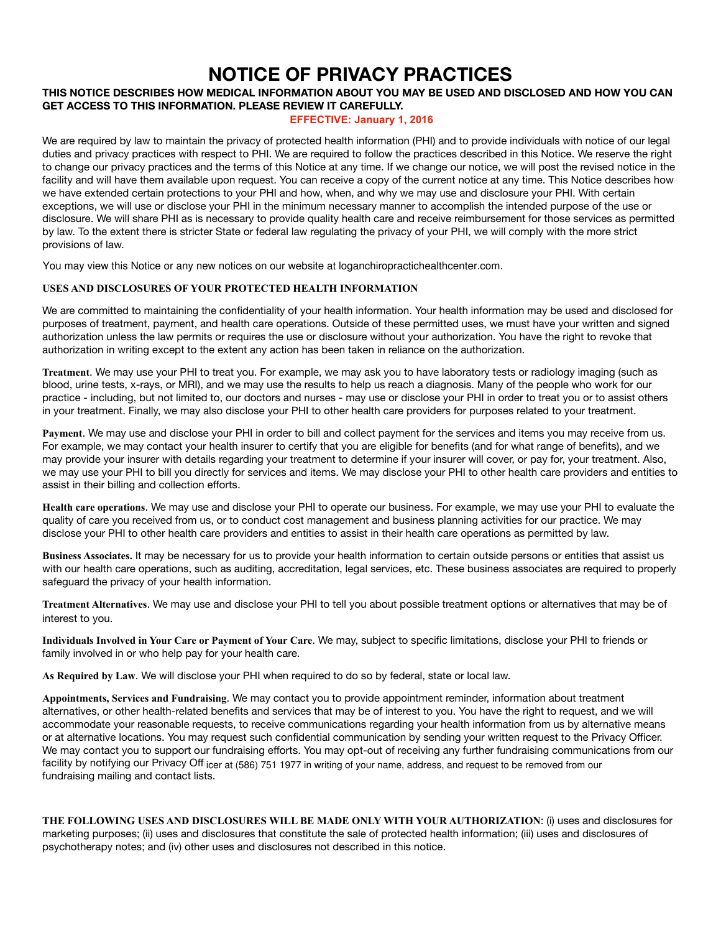# **NOTICE OF PRIVACY PRACTICES**

## **THIS NOTICE DESCRIBES HOW MEDICAL INFORMATION ABOUT YOU MAY BE USED AND DISCLOSED AND HOW YOU CAN GET ACCESS TO THIS INFORMATION. PLEASE REVIEW IT CAREFULLY.**

## **EFFECTIVE: January 1, 2016 EFFECTIVE: January 1, 2016**

We are required by law to maintain the privacy of protected health information (PHI) and to provide individuals with notice of our legal duties and privacy practices with respect to PHI. We are required to follow the practices described in this Notice. We reserve the right to change our privacy practices and the terms of this Notice at any time. If we change our notice, we will post the revised notice in the facility and will have them available upon request. You can receive a copy of the current notice at any time. This Notice describes how we have extended certain protections to your PHI and how, when, and why we may use and disclosure your PHI. With certain exceptions, we will use or disclose your PHI in the minimum necessary manner to accomplish the intended purpose of the use or disclosure. We will share PHI as is necessary to provide quality health care and receive reimbursement for those services as permitted by law. To the extent there is stricter State or federal law regulating the privacy of your PHI, we will comply with the more strict provisions of law.

You may view this Notice or any new notices on our website at loganchiropractichealthcenter.com.

### **USES AND DISCLOSURES OF YOUR PROTECTED HEALTH INFORMATION**

We are committed to maintaining the confidentiality of your health information. Your health information may be used and disclosed for purposes of treatment, payment, and health care operations. Outside of these permitted uses, we must have your written and signed authorization unless the law permits or requires the use or disclosure without your authorization. You have the right to revoke that authorization in writing except to the extent any action has been taken in reliance on the authorization.

**Treatment**. We may use your PHI to treat you. For example, we may ask you to have laboratory tests or radiology imaging (such as blood, urine tests, x-rays, or MRI), and we may use the results to help us reach a diagnosis. Many of the people who work for our practice - including, but not limited to, our doctors and nurses - may use or disclose your PHI in order to treat you or to assist others in your treatment. Finally, we may also disclose your PHI to other health care providers for purposes related to your treatment.

**Payment**. We may use and disclose your PHI in order to bill and collect payment for the services and items you may receive from us. For example, we may contact your health insurer to certify that you are eligible for benefits (and for what range of benefits), and we may provide your insurer with details regarding your treatment to determine if your insurer will cover, or pay for, your treatment. Also, we may use your PHI to bill you directly for services and items. We may disclose your PHI to other health care providers and entities to assist in their billing and collection efforts.

**Health care operations**. We may use and disclose your PHI to operate our business. For example, we may use your PHI to evaluate the quality of care you received from us, or to conduct cost management and business planning activities for our practice. We may disclose your PHI to other health care providers and entities to assist in their health care operations as permitted by law.

**Business Associates.** It may be necessary for us to provide your health information to certain outside persons or entities that assist us with our health care operations, such as auditing, accreditation, legal services, etc. These business associates are required to properly safeguard the privacy of your health information.

**Treatment Alternatives**. We may use and disclose your PHI to tell you about possible treatment options or alternatives that may be of interest to you.

**Individuals Involved in Your Care or Payment of Your Care**. We may, subject to specific limitations, disclose your PHI to friends or family involved in or who help pay for your health care.

**As Required by Law**. We will disclose your PHI when required to do so by federal, state or local law.

**Appointments, Services and Fundraising**. We may contact you to provide appointment reminder, information about treatment alternatives, or other health-related benefits and services that may be of interest to you. You have the right to request, and we will accommodate your reasonable requests, to receive communications regarding your health information from us by alternative means or at alternative locations. You may request such confidential communication by sending your written request to the Privacy Officer. We may contact you to support our fundraising efforts. You may opt-out of receiving any further fundraising communications from our facility by notifying our Privacy Offi<sub>icer at (586) 751 1977 in writing of your name, address, and request to be removed from our</sub> fundraising mailing and contact lists.

**THE FOLLOWING USES AND DISCLOSURES WILL BE MADE ONLY WITH YOUR AUTHORIZATION**: (i) uses and disclosures for marketing purposes; (ii) uses and disclosures that constitute the sale of protected health information; (iii) uses and disclosures of psychotherapy notes; and (iv) other uses and disclosures not described in this notice.